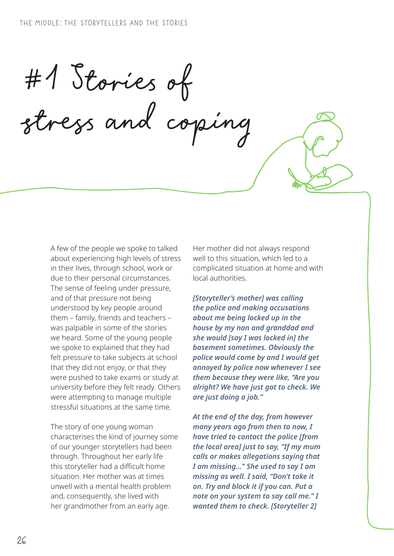#1 Stories of stress and coping

A few of the people we spoke to talked about experiencing high levels of stress in their lives, through school, work or due to their personal circumstances. The sense of feeling under pressure, and of that pressure not being understood by key people around them – family, friends and teachers – was palpable in some of the stories we heard. Some of the young people we spoke to explained that they had felt pressure to take subjects at school that they did not enjoy, or that they were pushed to take exams or study at university before they felt ready. Others were attempting to manage multiple stressful situations at the same time.

The story of one young woman characterises the kind of journey some of our younger storytellers had been through. Throughout her early life this storyteller had a difficult home situation. Her mother was at times unwell with a mental health problem and, consequently, she lived with her grandmother from an early age.

Her mother did not always respond well to this situation, which led to a complicated situation at home and with local authorities.

*[Storyteller's mother] was calling the police and making accusations about me being locked up in the house by my nan and granddad and she would [say I was locked in] the basement sometimes. Obviously the police would come by and I would get annoyed by police now whenever I see them because they were like, "Are you alright? We have just got to check. We are just doing a job."* 

*At the end of the day, from however many years ago from then to now, I have tried to contact the police [from the local area] just to say, "If my mum calls or makes allegations saying that I am missing…" She used to say I am missing as well. I said, "Don't take it on. Try and block it if you can. Put a note on your system to say call me." I wanted them to check. [Storyteller 2]*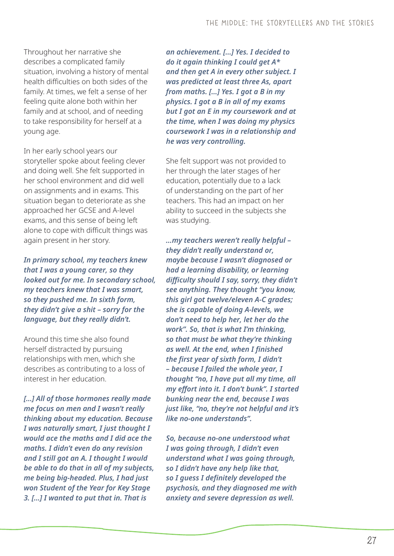Throughout her narrative she describes a complicated family situation, involving a history of mental health difficulties on both sides of the family. At times, we felt a sense of her feeling quite alone both within her family and at school, and of needing to take responsibility for herself at a young age.

In her early school years our storyteller spoke about feeling clever and doing well. She felt supported in her school environment and did well on assignments and in exams. This situation began to deteriorate as she approached her GCSE and A-level exams, and this sense of being left alone to cope with difficult things was again present in her story.

*In primary school, my teachers knew that I was a young carer, so they looked out for me. In secondary school, my teachers knew that I was smart, so they pushed me. In sixth form, they didn't give a shit – sorry for the language, but they really didn't.* 

Around this time she also found herself distracted by pursuing relationships with men, which she describes as contributing to a loss of interest in her education.

*[…] All of those hormones really made me focus on men and I wasn't really thinking about my education. Because I was naturally smart, I just thought I would ace the maths and I did ace the maths. I didn't even do any revision and I still got an A. I thought I would be able to do that in all of my subjects, me being big-headed. Plus, I had just won Student of the Year for Key Stage 3. […] I wanted to put that in. That is* 

*an achievement. […] Yes. I decided to do it again thinking I could get A\* and then get A in every other subject. I was predicted at least three As, apart from maths. […] Yes. I got a B in my physics. I got a B in all of my exams but I got an E in my coursework and at the time, when I was doing my physics coursework I was in a relationship and he was very controlling.*

She felt support was not provided to her through the later stages of her education, potentially due to a lack of understanding on the part of her teachers. This had an impact on her ability to succeed in the subjects she was studying.

*…my teachers weren't really helpful – they didn't really understand or, maybe because I wasn't diagnosed or had a learning disability, or learning difficulty should I say, sorry, they didn't see anything. They thought "you know, this girl got twelve/eleven A-C grades; she is capable of doing A-levels, we don't need to help her, let her do the work". So, that is what I'm thinking, so that must be what they're thinking as well. At the end, when I finished the first year of sixth form, I didn't – because I failed the whole year, I thought "no, I have put all my time, all my effort into it. I don't bunk". I started bunking near the end, because I was just like, "no, they're not helpful and it's like no-one understands".* 

*So, because no-one understood what I was going through, I didn't even understand what I was going through, so I didn't have any help like that, so I guess I definitely developed the psychosis, and they diagnosed me with anxiety and severe depression as well.*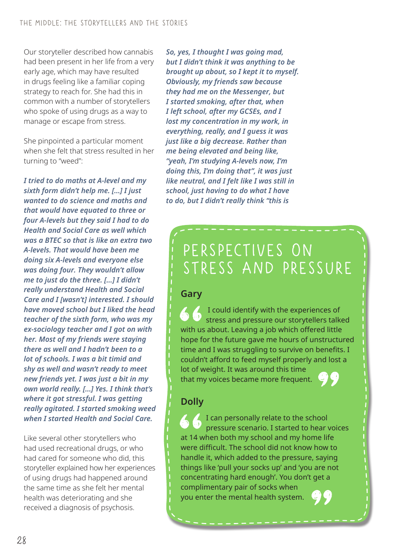Our storyteller described how cannabis had been present in her life from a very early age, which may have resulted in drugs feeling like a familiar coping strategy to reach for. She had this in common with a number of storytellers who spoke of using drugs as a way to manage or escape from stress.

She pinpointed a particular moment when she felt that stress resulted in her turning to "weed":

*I tried to do maths at A-level and my sixth form didn't help me. […] I just wanted to do science and maths and that would have equated to three or four A-levels but they said I had to do Health and Social Care as well which was a BTEC so that is like an extra two A-levels. That would have been me doing six A-levels and everyone else was doing four. They wouldn't allow me to just do the three. […] I didn't really understand Health and Social Care and I [wasn't] interested. I should have moved school but I liked the head teacher of the sixth form, who was my ex-sociology teacher and I got on with her. Most of my friends were staying there as well and I hadn't been to a lot of schools. I was a bit timid and shy as well and wasn't ready to meet new friends yet. I was just a bit in my own world really. […] Yes. I think that's where it got stressful. I was getting really agitated. I started smoking weed when I started Health and Social Care.* 

Like several other storytellers who had used recreational drugs, or who had cared for someone who did, this storyteller explained how her experiences of using drugs had happened around the same time as she felt her mental health was deteriorating and she received a diagnosis of psychosis.

*So, yes, I thought I was going mad, but I didn't think it was anything to be brought up about, so I kept it to myself. Obviously, my friends saw because they had me on the Messenger, but I started smoking, after that, when I left school, after my GCSEs, and I lost my concentration in my work, in everything, really, and I guess it was just like a big decrease. Rather than me being elevated and being like, "yeah, I'm studying A-levels now, I'm doing this, I'm doing that", it was just like neutral, and I felt like I was still in school, just having to do what I have to do, but I didn't really think "this is* 

# Perspectives on stress AND pressure

#### **Gary**

 I could identify with the experiences of stress and pressure our storytellers talked with us about. Leaving a job which offered little hope for the future gave me hours of unstructured time and I was struggling to survive on benefits. I couldn't afford to feed myself properly and lost a lot of weight. It was around this time that my voices became more frequent.

### **Dolly**

I can personally relate to the school pressure scenario. I started to hear voices at 14 when both my school and my home life were difficult. The school did not know how to handle it, which added to the pressure, saying things like 'pull your socks up' and 'you are not concentrating hard enough'. You don't get a complimentary pair of socks when you enter the mental health system.

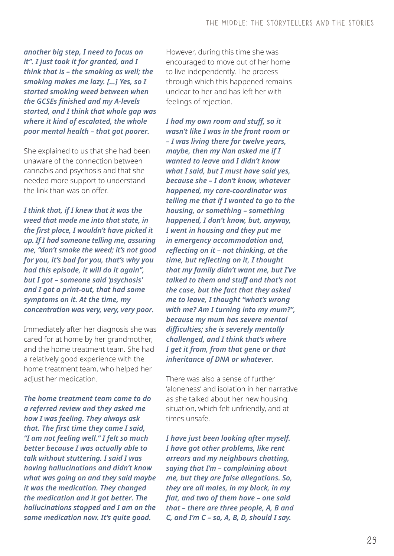*another big step, I need to focus on it". I just took it for granted, and I think that is – the smoking as well; the smoking makes me lazy. […] Yes, so I started smoking weed between when the GCSEs finished and my A-levels started, and I think that whole gap was where it kind of escalated, the whole poor mental health – that got poorer.*

She explained to us that she had been unaware of the connection between cannabis and psychosis and that she needed more support to understand the link than was on offer.

*I think that, if I knew that it was the weed that made me into that state, in the first place, I wouldn't have picked it up. If I had someone telling me, assuring me, "don't smoke the weed; it's not good for you, it's bad for you, that's why you had this episode, it will do it again", but I got – someone said 'psychosis' and I got a print-out, that had some symptoms on it. At the time, my concentration was very, very, very poor.* 

Immediately after her diagnosis she was cared for at home by her grandmother, and the home treatment team. She had a relatively good experience with the home treatment team, who helped her adjust her medication.

*The home treatment team came to do a referred review and they asked me how I was feeling. They always ask that. The first time they came I said, "I am not feeling well." I felt so much better because I was actually able to talk without stuttering. I said I was having hallucinations and didn't know what was going on and they said maybe it was the medication. They changed the medication and it got better. The hallucinations stopped and I am on the same medication now. It's quite good.*

However, during this time she was encouraged to move out of her home to live independently. The process through which this happened remains unclear to her and has left her with feelings of rejection.

*I had my own room and stuff, so it wasn't like I was in the front room or – I was living there for twelve years, maybe, then my Nan asked me if I wanted to leave and I didn't know what I said, but I must have said yes, because she – I don't know, whatever happened, my care-coordinator was telling me that if I wanted to go to the housing, or something – something happened, I don't know, but, anyway, I went in housing and they put me in emergency accommodation and, reflecting on it – not thinking, at the time, but reflecting on it, I thought that my family didn't want me, but I've talked to them and stuff and that's not the case, but the fact that they asked me to leave, I thought "what's wrong with me? Am I turning into my mum?", because my mum has severe mental difficulties; she is severely mentally challenged, and I think that's where I get it from, from that gene or that inheritance of DNA or whatever.*

There was also a sense of further 'aloneness' and isolation in her narrative as she talked about her new housing situation, which felt unfriendly, and at times unsafe.

*I have just been looking after myself. I have got other problems, like rent arrears and my neighbours chatting, saying that I'm – complaining about me, but they are false allegations. So, they are all males, in my block, in my flat, and two of them have – one said that – there are three people, A, B and C, and I'm C – so, A, B, D, should I say.*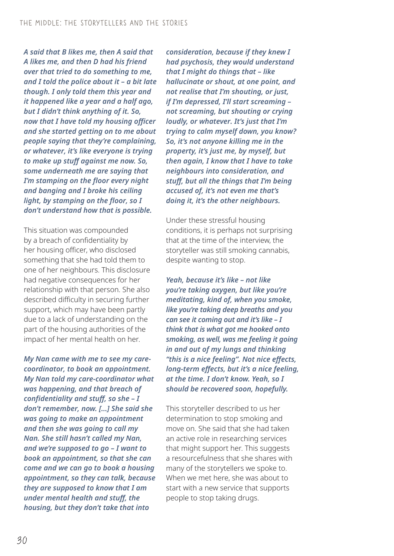*A said that B likes me, then A said that A likes me, and then D had his friend over that tried to do something to me, and I told the police about it – a bit late though. I only told them this year and it happened like a year and a half ago, but I didn't think anything of it. So, now that I have told my housing officer and she started getting on to me about people saying that they're complaining, or whatever, it's like everyone is trying to make up stuff against me now. So, some underneath me are saying that I'm stamping on the floor every night and banging and I broke his ceiling light, by stamping on the floor, so I don't understand how that is possible.*

This situation was compounded by a breach of confidentiality by her housing officer, who disclosed something that she had told them to one of her neighbours. This disclosure had negative consequences for her relationship with that person. She also described difficulty in securing further support, which may have been partly due to a lack of understanding on the part of the housing authorities of the impact of her mental health on her.

*My Nan came with me to see my carecoordinator, to book an appointment. My Nan told my care-coordinator what was happening, and that breach of confidentiality and stuff, so she – I don't remember, now. […] She said she was going to make an appointment and then she was going to call my Nan. She still hasn't called my Nan, and we're supposed to go – I want to book an appointment, so that she can come and we can go to book a housing appointment, so they can talk, because they are supposed to know that I am under mental health and stuff, the housing, but they don't take that into* 

*consideration, because if they knew I had psychosis, they would understand that I might do things that – like hallucinate or shout, at one point, and not realise that I'm shouting, or just, if I'm depressed, I'll start screaming – not screaming, but shouting or crying loudly, or whatever. It's just that I'm trying to calm myself down, you know? So, it's not anyone killing me in the property, it's just me, by myself, but then again, I know that I have to take neighbours into consideration, and stuff, but all the things that I'm being accused of, it's not even me that's doing it, it's the other neighbours.*

Under these stressful housing conditions, it is perhaps not surprising that at the time of the interview, the storyteller was still smoking cannabis, despite wanting to stop.

*Yeah, because it's like – not like you're taking oxygen, but like you're meditating, kind of, when you smoke, like you're taking deep breaths and you can see it coming out and it's like – I think that is what got me hooked onto smoking, as well, was me feeling it going in and out of my lungs and thinking "this is a nice feeling". Not nice effects, long-term effects, but it's a nice feeling, at the time. I don't know. Yeah, so I should be recovered soon, hopefully.*

This storyteller described to us her determination to stop smoking and move on. She said that she had taken an active role in researching services that might support her. This suggests a resourcefulness that she shares with many of the storytellers we spoke to. When we met here, she was about to start with a new service that supports people to stop taking drugs.